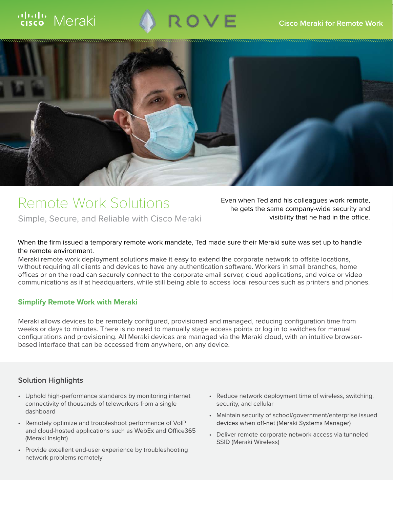# Meraki





# Remote Work Solutions

Simple, Secure, and Reliable with Cisco Meraki

Even when Ted and his colleagues work remote, he gets the same company-wide security and visibility that he had in the office.

#### When the firm issued a temporary remote work mandate, Ted made sure their Meraki suite was set up to handle the remote environment.

Meraki remote work deployment solutions make it easy to extend the corporate network to offsite locations, without requiring all clients and devices to have any authentication software. Workers in small branches, home<br>offices or on the road can securely connect to the corporate email server, cloud applications, and voice or vid communications as if at headquarters, while still being able to access local resources such as printers and phones.

#### **Simplify Remote Work with Meraki**

Meraki allows devices to be remotely configured, provisioned and managed, reducing configuration time from weeks or days to minutes. There is no need to manually stage access points or log in to switches for manual configurations and provisioning. All Meraki devices are managed via the Meraki cloud, with an intuitive browserbased interface that can be accessed from anywhere, on any device.

#### **Solution Highlights**

- Uphold high-performance standards by monitoring internet connectivity of thousands of teleworkers from a single dashboard
- Remotely optimize and troubleshoot performance of VoIP and cloud-hosted applications such as WebEx and Office365 (Meraki Insight)
- Provide excellent end-user experience by troubleshooting network problems remotely
- Reduce network deployment time of wireless, switching, security, and cellular
- Maintain security of school/government/enterprise issued devices when off-net (Meraki Systems Manager)
- Deliver remote corporate network access via tunneled SSID (Meraki Wireless)